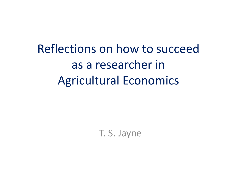Reflections on how to succeed as a researcher in Agricultural Economics

T. S. Jayne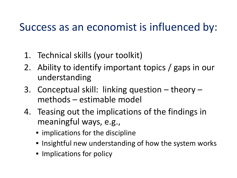#### Success as an economist is influenced by:

- 1. Technical skills (your toolkit)
- 2. Ability to identify important topics / gaps in our understanding
- 3. Conceptual skill: linking question theory methods – estimable model
- 4. Teasing out the implications of the findings in meaningful ways, e.g.,
	- implications for the discipline
	- Insightful new understanding of how the system works
	- Implications for policy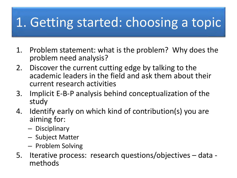## 1. Getting started: choosing a topic

- 1. Problem statement: what is the problem? Why does the problem need analysis?
- 2. Discover the current cutting edge by talking to the academic leaders in the field and ask them about their current research activities
- 3. Implicit E-B-P analysis behind conceptualization of the study
- 4. Identify early on which kind of contribution(s) you are aiming for:
	- Disciplinary
	- Subject Matter
	- Problem Solving
- 5. Iterative process: research questions/objectives data methods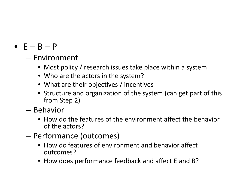#### •  $E - B - P$

- Environment
	- Most policy / research issues take place within a system
	- Who are the actors in the system?
	- What are their objectives / incentives
	- Structure and organization of the system (can get part of this from Step 2)
- Behavior
	- How do the features of the environment affect the behavior of the actors?
- Performance (outcomes)
	- How do features of environment and behavior affect outcomes?
	- How does performance feedback and affect E and B?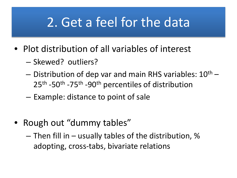### 2. Get a feel for the data

- Plot distribution of all variables of interest
	- Skewed? outliers?
	- $-$  Distribution of dep var and main RHS variables:  $10^{th}$  25<sup>th</sup> -50<sup>th</sup> -75<sup>th</sup> -90<sup>th</sup> percentiles of distribution
	- Example: distance to point of sale
- Rough out "dummy tables"
	- $-$  Then fill in  $-$  usually tables of the distribution, % adopting, cross-tabs, bivariate relations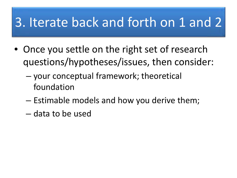## 3. Iterate back and forth on 1 and 2

- Once you settle on the right set of research questions/hypotheses/issues, then consider:
	- your conceptual framework; theoretical foundation
	- Estimable models and how you derive them;
	- data to be used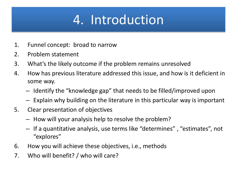# 4. Introduction

- 1. Funnel concept: broad to narrow
- 2. Problem statement
- 3. What's the likely outcome if the problem remains unresolved
- 4. How has previous literature addressed this issue, and how is it deficient in some way.
	- Identify the "knowledge gap" that needs to be filled/improved upon
	- Explain why building on the literature in this particular way is important
- 5. Clear presentation of objectives
	- How will your analysis help to resolve the problem?
	- If a quantitative analysis, use terms like "determines" , "estimates", not "explores"
- 6. How you will achieve these objectives, i.e., methods
- 7. Who will benefit? / who will care?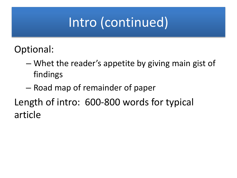## Intro (continued)

Optional:

- Whet the reader's appetite by giving main gist of findings
- Road map of remainder of paper

Length of intro: 600-800 words for typical article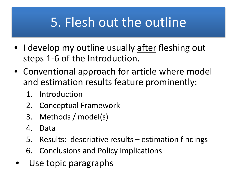### 5. Flesh out the outline

- I develop my outline usually after fleshing out steps 1-6 of the Introduction.
- Conventional approach for article where model and estimation results feature prominently:
	- 1. Introduction
	- 2. Conceptual Framework
	- 3. Methods / model(s)
	- 4. Data
	- 5. Results: descriptive results estimation findings
	- 6. Conclusions and Policy Implications
- Use topic paragraphs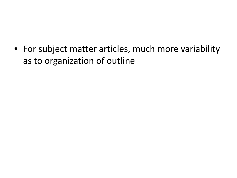• For subject matter articles, much more variability as to organization of outline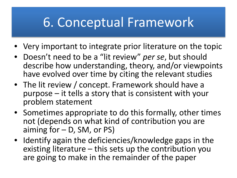## 6. Conceptual Framework

- Very important to integrate prior literature on the topic
- Doesn't need to be a "lit review" *per se*, but should describe how understanding, theory, and/or viewpoints have evolved over time by citing the relevant studies
- The lit review / concept. Framework should have a purpose – it tells a story that is consistent with your problem statement
- Sometimes appropriate to do this formally, other times not (depends on what kind of contribution you are aiming for  $-$  D, SM, or PS)
- Identify again the deficiencies/knowledge gaps in the existing literature – this sets up the contribution you are going to make in the remainder of the paper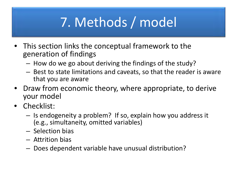# 7. Methods / model

- This section links the conceptual framework to the generation of findings
	- How do we go about deriving the findings of the study?
	- Best to state limitations and caveats, so that the reader is aware that you are aware
- Draw from economic theory, where appropriate, to derive your model
- Checklist:
	- Is endogeneity a problem? If so, explain how you address it (e.g., simultaneity, omitted variables)
	- Selection bias
	- Attrition bias
	- Does dependent variable have unusual distribution?